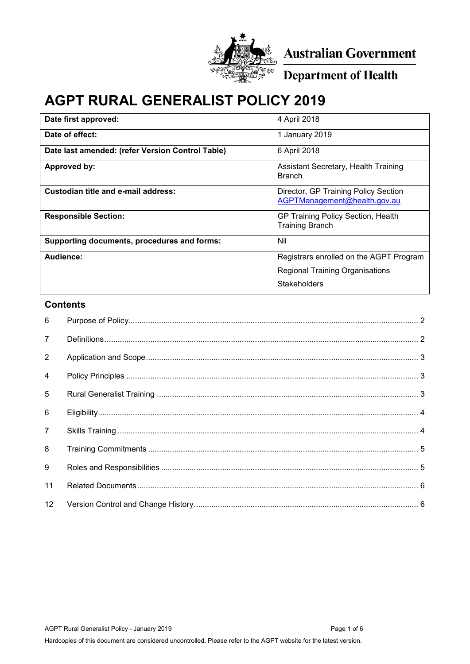

Australian Government

Department of Health

# **AGPT RURAL GENERALIST POLICY 2019**

| Date first approved:                             | 4 April 2018                                                         |
|--------------------------------------------------|----------------------------------------------------------------------|
| Date of effect:                                  | 1 January 2019                                                       |
| Date last amended: (refer Version Control Table) | 6 April 2018                                                         |
| Approved by:                                     | Assistant Secretary, Health Training<br><b>Branch</b>                |
| Custodian title and e-mail address:              | Director, GP Training Policy Section<br>AGPTManagement@health.gov.au |
| <b>Responsible Section:</b>                      | GP Training Policy Section, Health<br><b>Training Branch</b>         |
| Supporting documents, procedures and forms:      | Nil                                                                  |
| Audience:                                        | Registrars enrolled on the AGPT Program                              |
|                                                  | <b>Regional Training Organisations</b>                               |
|                                                  | Stakeholders                                                         |

# **Contents**

| 6              |  |
|----------------|--|
| $7^{\circ}$    |  |
| $\overline{2}$ |  |
| $\overline{4}$ |  |
| $5^{\circ}$    |  |
| 6              |  |
| $7^{\circ}$    |  |
| 8              |  |
| 9              |  |
| 11             |  |
| 12             |  |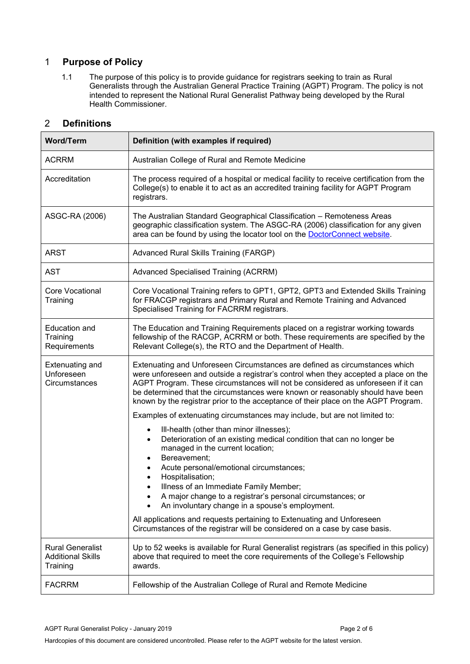# <span id="page-1-0"></span>1 **Purpose of Policy**

1.1 The purpose of this policy is to provide guidance for registrars seeking to train as Rural Generalists through the Australian General Practice Training (AGPT) Program. The policy is not intended to represent the National Rural Generalist Pathway being developed by the Rural Health Commissioner.

# <span id="page-1-1"></span>2 **Definitions**

| <b>Word/Term</b>                                                | Definition (with examples if required)                                                                                                                                                                                                                                                                                                                                                                                         |
|-----------------------------------------------------------------|--------------------------------------------------------------------------------------------------------------------------------------------------------------------------------------------------------------------------------------------------------------------------------------------------------------------------------------------------------------------------------------------------------------------------------|
| <b>ACRRM</b>                                                    | Australian College of Rural and Remote Medicine                                                                                                                                                                                                                                                                                                                                                                                |
| Accreditation                                                   | The process required of a hospital or medical facility to receive certification from the<br>College(s) to enable it to act as an accredited training facility for AGPT Program<br>registrars.                                                                                                                                                                                                                                  |
| ASGC-RA (2006)                                                  | The Australian Standard Geographical Classification - Remoteness Areas<br>geographic classification system. The ASGC-RA (2006) classification for any given<br>area can be found by using the locator tool on the DoctorConnect website.                                                                                                                                                                                       |
| <b>ARST</b>                                                     | Advanced Rural Skills Training (FARGP)                                                                                                                                                                                                                                                                                                                                                                                         |
| <b>AST</b>                                                      | Advanced Specialised Training (ACRRM)                                                                                                                                                                                                                                                                                                                                                                                          |
| <b>Core Vocational</b><br>Training                              | Core Vocational Training refers to GPT1, GPT2, GPT3 and Extended Skills Training<br>for FRACGP registrars and Primary Rural and Remote Training and Advanced<br>Specialised Training for FACRRM registrars.                                                                                                                                                                                                                    |
| Education and<br>Training<br>Requirements                       | The Education and Training Requirements placed on a registrar working towards<br>fellowship of the RACGP, ACRRM or both. These requirements are specified by the<br>Relevant College(s), the RTO and the Department of Health.                                                                                                                                                                                                 |
| <b>Extenuating and</b><br>Unforeseen<br>Circumstances           | Extenuating and Unforeseen Circumstances are defined as circumstances which<br>were unforeseen and outside a registrar's control when they accepted a place on the<br>AGPT Program. These circumstances will not be considered as unforeseen if it can<br>be determined that the circumstances were known or reasonably should have been<br>known by the registrar prior to the acceptance of their place on the AGPT Program. |
|                                                                 | Examples of extenuating circumstances may include, but are not limited to:                                                                                                                                                                                                                                                                                                                                                     |
|                                                                 | Ill-health (other than minor illnesses);<br>$\bullet$<br>Deterioration of an existing medical condition that can no longer be<br>$\bullet$<br>managed in the current location;<br>Bereavement;<br>Acute personal/emotional circumstances;<br>Hospitalisation;<br>Illness of an Immediate Family Member;<br>A major change to a registrar's personal circumstances; or<br>An involuntary change in a spouse's employment.       |
|                                                                 | All applications and requests pertaining to Extenuating and Unforeseen<br>Circumstances of the registrar will be considered on a case by case basis.                                                                                                                                                                                                                                                                           |
| <b>Rural Generalist</b><br><b>Additional Skills</b><br>Training | Up to 52 weeks is available for Rural Generalist registrars (as specified in this policy)<br>above that required to meet the core requirements of the College's Fellowship<br>awards.                                                                                                                                                                                                                                          |
| <b>FACRRM</b>                                                   | Fellowship of the Australian College of Rural and Remote Medicine                                                                                                                                                                                                                                                                                                                                                              |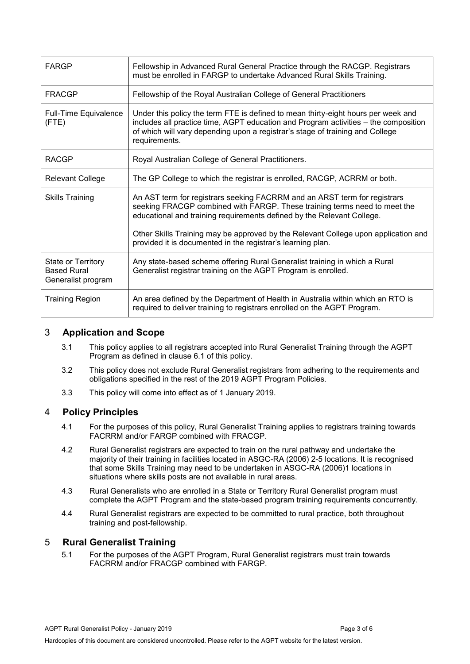| <b>FARGP</b>                                                   | Fellowship in Advanced Rural General Practice through the RACGP. Registrars<br>must be enrolled in FARGP to undertake Advanced Rural Skills Training.                                                                                                                      |
|----------------------------------------------------------------|----------------------------------------------------------------------------------------------------------------------------------------------------------------------------------------------------------------------------------------------------------------------------|
| <b>FRACGP</b>                                                  | Fellowship of the Royal Australian College of General Practitioners                                                                                                                                                                                                        |
| <b>Full-Time Equivalence</b><br>(FTE)                          | Under this policy the term FTE is defined to mean thirty-eight hours per week and<br>includes all practice time, AGPT education and Program activities – the composition<br>of which will vary depending upon a registrar's stage of training and College<br>requirements. |
| <b>RACGP</b>                                                   | Royal Australian College of General Practitioners.                                                                                                                                                                                                                         |
| <b>Relevant College</b>                                        | The GP College to which the registrar is enrolled, RACGP, ACRRM or both.                                                                                                                                                                                                   |
| <b>Skills Training</b>                                         | An AST term for registrars seeking FACRRM and an ARST term for registrars<br>seeking FRACGP combined with FARGP. These training terms need to meet the<br>educational and training requirements defined by the Relevant College.                                           |
|                                                                | Other Skills Training may be approved by the Relevant College upon application and<br>provided it is documented in the registrar's learning plan.                                                                                                                          |
| State or Territory<br><b>Based Rural</b><br>Generalist program | Any state-based scheme offering Rural Generalist training in which a Rural<br>Generalist registrar training on the AGPT Program is enrolled.                                                                                                                               |
| <b>Training Region</b>                                         | An area defined by the Department of Health in Australia within which an RTO is<br>required to deliver training to registrars enrolled on the AGPT Program.                                                                                                                |

# <span id="page-2-0"></span>3 **Application and Scope**

- 3.1 This policy applies to all registrars accepted into Rural Generalist Training through the AGPT Program as defined in clause 6.1 of this policy.
- 3.2 This policy does not exclude Rural Generalist registrars from adhering to the requirements and obligations specified in the rest of the 2019 AGPT Program Policies.
- 3.3 This policy will come into effect as of 1 January 2019.

#### <span id="page-2-1"></span>4 **Policy Principles**

- 4.1 For the purposes of this policy, Rural Generalist Training applies to registrars training towards FACRRM and/or FARGP combined with FRACGP.
- 4.2 Rural Generalist registrars are expected to train on the rural pathway and undertake the majority of their training in facilities located in ASGC-RA (2006) 2-5 locations. It is recognised that some Skills Training may need to be undertaken in ASGC-RA (2006)1 locations in situations where skills posts are not available in rural areas.
- 4.3 Rural Generalists who are enrolled in a State or Territory Rural Generalist program must complete the AGPT Program and the state-based program training requirements concurrently.
- 4.4 Rural Generalist registrars are expected to be committed to rural practice, both throughout training and post-fellowship.

#### <span id="page-2-2"></span>5 **Rural Generalist Training**

5.1 For the purposes of the AGPT Program, Rural Generalist registrars must train towards FACRRM and/or FRACGP combined with FARGP.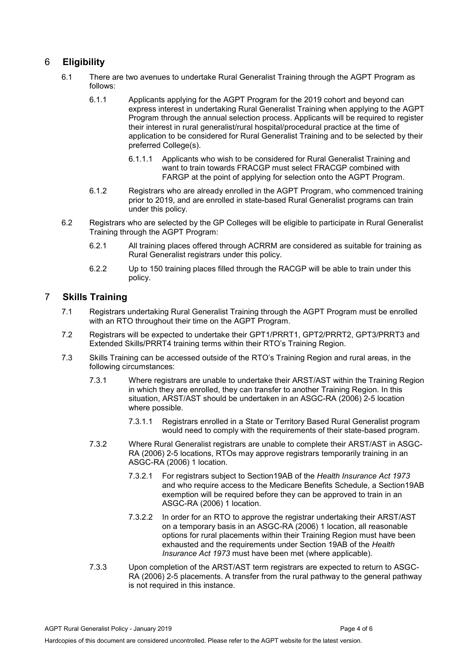# <span id="page-3-0"></span>6 **Eligibility**

- 6.1 There are two avenues to undertake Rural Generalist Training through the AGPT Program as follows:
	- 6.1.1 Applicants applying for the AGPT Program for the 2019 cohort and beyond can express interest in undertaking Rural Generalist Training when applying to the AGPT Program through the annual selection process. Applicants will be required to register their interest in rural generalist/rural hospital/procedural practice at the time of application to be considered for Rural Generalist Training and to be selected by their preferred College(s).
		- 6.1.1.1 Applicants who wish to be considered for Rural Generalist Training and want to train towards FRACGP must select FRACGP combined with FARGP at the point of applying for selection onto the AGPT Program.
	- 6.1.2 Registrars who are already enrolled in the AGPT Program, who commenced training prior to 2019, and are enrolled in state-based Rural Generalist programs can train under this policy.
- 6.2 Registrars who are selected by the GP Colleges will be eligible to participate in Rural Generalist Training through the AGPT Program:
	- 6.2.1 All training places offered through ACRRM are considered as suitable for training as Rural Generalist registrars under this policy.
	- 6.2.2 Up to 150 training places filled through the RACGP will be able to train under this policy.

# <span id="page-3-1"></span>7 **Skills Training**

- 7.1 Registrars undertaking Rural Generalist Training through the AGPT Program must be enrolled with an RTO throughout their time on the AGPT Program.
- 7.2 Registrars will be expected to undertake their GPT1/PRRT1, GPT2/PRRT2, GPT3/PRRT3 and Extended Skills/PRRT4 training terms within their RTO's Training Region.
- 7.3 Skills Training can be accessed outside of the RTO's Training Region and rural areas, in the following circumstances:
	- 7.3.1 Where registrars are unable to undertake their ARST/AST within the Training Region in which they are enrolled, they can transfer to another Training Region. In this situation, ARST/AST should be undertaken in an ASGC-RA (2006) 2-5 location where possible.
		- 7.3.1.1 Registrars enrolled in a State or Territory Based Rural Generalist program would need to comply with the requirements of their state-based program.
	- 7.3.2 Where Rural Generalist registrars are unable to complete their ARST/AST in ASGC-RA (2006) 2-5 locations, RTOs may approve registrars temporarily training in an ASGC-RA (2006) 1 location.
		- 7.3.2.1 For registrars subject to Section19AB of the *Health Insurance Act 1973* and who require access to the Medicare Benefits Schedule, a Section19AB exemption will be required before they can be approved to train in an ASGC-RA (2006) 1 location.
		- 7.3.2.2 In order for an RTO to approve the registrar undertaking their ARST/AST on a temporary basis in an ASGC-RA (2006) 1 location, all reasonable options for rural placements within their Training Region must have been exhausted and the requirements under Section 19AB of the *Health Insurance Act 1973* must have been met (where applicable).
	- 7.3.3 Upon completion of the ARST/AST term registrars are expected to return to ASGC-RA (2006) 2-5 placements. A transfer from the rural pathway to the general pathway is not required in this instance.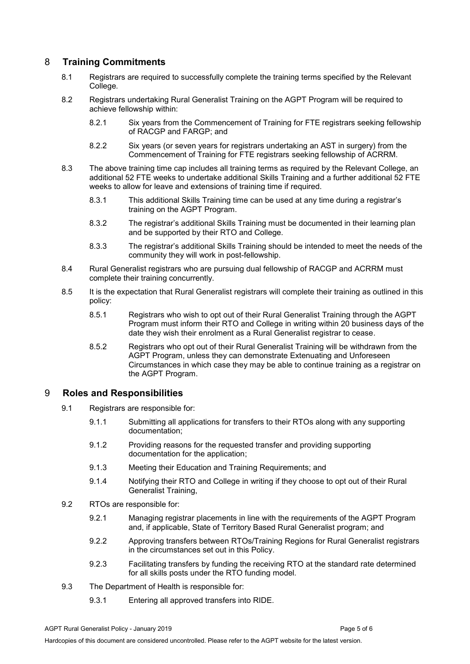# <span id="page-4-0"></span>8 **Training Commitments**

- 8.1 Registrars are required to successfully complete the training terms specified by the Relevant College*.*
- 8.2 Registrars undertaking Rural Generalist Training on the AGPT Program will be required to achieve fellowship within:
	- 8.2.1 Six years from the Commencement of Training for FTE registrars seeking fellowship of RACGP and FARGP; and
	- 8.2.2 Six years (or seven years for registrars undertaking an AST in surgery) from the Commencement of Training for FTE registrars seeking fellowship of ACRRM.
- 8.3 The above training time cap includes all training terms as required by the Relevant College, an additional 52 FTE weeks to undertake additional Skills Training and a further additional 52 FTE weeks to allow for leave and extensions of training time if required.
	- 8.3.1 This additional Skills Training time can be used at any time during a registrar's training on the AGPT Program.
	- 8.3.2 The registrar's additional Skills Training must be documented in their learning plan and be supported by their RTO and College.
	- 8.3.3 The registrar's additional Skills Training should be intended to meet the needs of the community they will work in post-fellowship.
- 8.4 Rural Generalist registrars who are pursuing dual fellowship of RACGP and ACRRM must complete their training concurrently.
- 8.5 It is the expectation that Rural Generalist registrars will complete their training as outlined in this policy:
	- 8.5.1 Registrars who wish to opt out of their Rural Generalist Training through the AGPT Program must inform their RTO and College in writing within 20 business days of the date they wish their enrolment as a Rural Generalist registrar to cease.
	- 8.5.2 Registrars who opt out of their Rural Generalist Training will be withdrawn from the AGPT Program, unless they can demonstrate Extenuating and Unforeseen Circumstances in which case they may be able to continue training as a registrar on the AGPT Program.

#### <span id="page-4-1"></span>9 **Roles and Responsibilities**

- 9.1 Registrars are responsible for:
	- 9.1.1 Submitting all applications for transfers to their RTOs along with any supporting documentation;
	- 9.1.2 Providing reasons for the requested transfer and providing supporting documentation for the application;
	- 9.1.3 Meeting their Education and Training Requirements; and
	- 9.1.4 Notifying their RTO and College in writing if they choose to opt out of their Rural Generalist Training,
- 9.2 RTOs are responsible for:
	- 9.2.1 Managing registrar placements in line with the requirements of the AGPT Program and, if applicable, State of Territory Based Rural Generalist program; and
	- 9.2.2 Approving transfers between RTOs/Training Regions for Rural Generalist registrars in the circumstances set out in this Policy.
	- 9.2.3 Facilitating transfers by funding the receiving RTO at the standard rate determined for all skills posts under the RTO funding model.
- 9.3 The Department of Health is responsible for:
	- 9.3.1 Entering all approved transfers into RIDE.